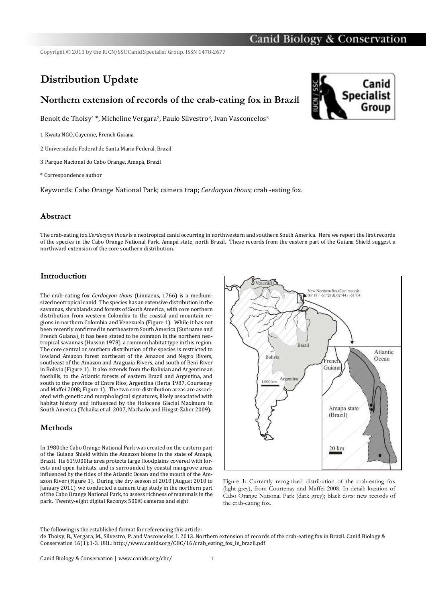Copyright © 2013 by the IUCN/SSC Canid Specialist Group. ISSN 1478-2677

# **Distribution Update**

## **Northern extension of records of the crab-eating fox in Brazil**

Benoit de Thoisy<sup>1</sup>\*, Micheline Vergara<sup>2</sup>, Paulo Silvestro<sup>3</sup>, Ivan Vasconcelos<sup>3</sup>

1 Kwata NGO, Cayenne, French Guiana

2 Universidade Federal de Santa Maria Federal, Brazil

3 Parque Nacional do Cabo Orange, Amapá, Brazil

\* Correspondence author

Keywords: Cabo Orange National Park; camera trap; *Cerdocyon thous*; crab -eating fox.

#### **Abstract**

The crab-eating fox *Cerdocyon thous*is a neotropical canid occurring in northwestern and southern South America. Here we report the first records of the species in the Cabo Orange National Park, Amapá state, north Brazil. These records from the eastern part of the Guiana Shield suggest a northward extension of the core southern distribution.

#### **Introduction**

The crab-eating fox *Cerdocyon thous* (Linnaeus, 1766) is a mediumsized neotropical canid. The species has an extensive distribution in the savannas, shrublands and forests of South America, with core northern distribution from western Colombia to the coastal and mountain regions in northern Colombia and Venezuela (Figure 1). While it has not been recently confirmed in northeastern South America (Suriname and French Guiana), it has been stated to be common in the northern neotropical savannas (Husson 1978), a common habitat type in this region. The core central or southern distribution of the species is restricted to lowland Amazon forest northeast of the Amazon and Negro Rivers, southeast of the Amazon and Araguaia Rivers, and south of Beni River in Bolivia (Figure 1). It also extends from the Bolivian and Argentinean foothills, to the Atlantic forests of eastern Brazil and Argentina, and south to the province of Entre Ríos, Argentina (Berta 1987, Courtenay and Maffei 2008; Figure 1). The two core distribution areas are associated with genetic and morphological signatures, likely associated with habitat history and influenced by the Holocene Glacial Maximum in South America (Tchaika et al. 2007, Machado and Hingst-Zaher 2009).

#### **Methods**

In 1980 the Cabo Orange National Park was created on the eastern part of the Guiana Shield within the Amazon biome in the state of Amapá, Brazil. Its 619,000ha area protects large floodplains covered with forests and open habitats, and is surrounded by coastal mangrove areas influenced by the tides of the Atlantic Ocean and the mouth of the Amazon River (Figure 1). During the dry season of 2010 (August 2010 to January 2011), we conducted a camera trap study in the northern part of the Cabo Orange National Park, to assess richness of mammals in the park. Twenty-eight digital Reconyx 500© cameras and eight



Figure 1: Currently recognized distribution of the crab-eating fox (light grey), from Courtenay and Maffei 2008. In detail: location of Cabo Orange National Park (dark grey); black dots: new records of the crab-eating fox.

The following is the established format for referencing this article:



de Thoisy, B., Vergara, M., Silvestro, P. and Vasconcelos, I. 2013. Northern extension of records of the crab-eating fox in Brazil. Canid Biology & Conservation 16(1):1-3. URL: http://www.canids.org/CBC/16/crab\_eating\_fox\_in\_brazil.pdf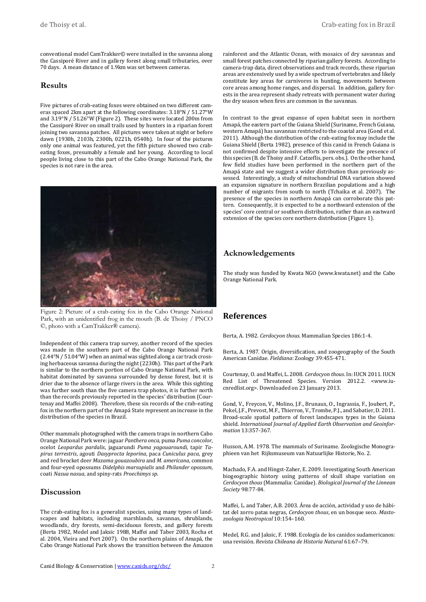conventional model CamTrakker© were installed in the savanna along the Cassiporé River and in gallery forest along small tributaries, over 70 days. A mean distance of 1.9km was set between cameras.

#### **Results**

Five pictures of crab-eating foxes were obtained on two different cameras spaced 2km apart at the following coordinates: 3.18°N / 51.27°W and 3.19°N / 51.26°W (Figure 2). These sites were located 200m from the Cassiporé River on small trails used by hunters in a riparian forest joining two savanna patches. All pictures were taken at night or before dawn (1930h, 2103h, 2300h, 0221h, 0540h). In four of the pictures only one animal was featured, yet the fifth picture showed two crabeating foxes, presumably a female and her young. According to local people living close to this part of the Cabo Orange National Park, the species is not rare in the area.



Figure 2: Picture of a crab-eating fox in the Cabo Orange National Park, with an unidentified frog in the mouth (B. de Thoisy / PNCO ©, photo with a CamTrakker® camera).

Independent of this camera trap survey, another record of the species was made in the southern part of the Cabo Orange National Park (2.44°N / 51.04°W) when an animal was sighted along a car track crossing herbaceous savanna during the night (2230h). This part of the Park is similar to the northern portion of Cabo Orange National Park, with habitat dominated by savanna surrounded by dense forest, but it is drier due to the absence of large rivers in the area. While this sighting was further south than the five camera trap photos, it is further north than the records previously reported in the species' distribution (Courtenay and Maffei 2008). Therefore, these six records of the crab-eating fox in the northern part of the Amapá State represent an increase in the distribution of the species in Brazil.

Other mammals photographed with the camera traps in northern Cabo Orange National Park were: jaguar *Panthera onca*, puma *Puma concolor*, ocelot *Leopardus pardalis*, jaguarundi *Puma yagouaroundi*, tapir *Tapirus terrestris*, agouti *Dasyprocta leporina*, paca *Cuniculus paca*, grey and red brocket deer *Mazama gouazoubira* and *M. americana*, common and four-eyed opossums *Didelphis marsupialis* and *Philander opossum*, coati *Nasua nasua*, and spiny-rats *Proechimys sp*.

#### **Discussion**

The crab-eating fox is a generalist species, using many types of landscapes and habitats, including marshlands, savannas, shrublands, woodlands, dry forests, semi-deciduous forests, and gallery forests (Berta 1982, Medel and Jaksic 1988, Maffei and Taber 2003, Rocha et al. 2004, Vieira and Port 2007). On the northern plains of Amapá, the Cabo Orange National Park shows the transition between the Amazon

rainforest and the Atlantic Ocean, with mosaics of dry savannas and small forest patches connected by riparian gallery forests. According to camera-trap data, direct observations and track records, these riparian areas are extensively used by a wide spectrum of vertebrates and likely constitute key areas for carnivores in hunting, movements between core areas among home ranges, and dispersal. In addition, gallery forests in the area represent shady retreats with permanent water during the dry season when fires are common in the savannas.

In contrast to the great expanse of open habitat seen in northern Amapá, the eastern part of the Guiana Shield (Suriname, French Guiana, western Amapá) has savannas restricted to the coastal area (Gond et al. 2011). Although the distribution of the crab-eating fox may include the Guiana Shield (Berta 1982), presence of this canid in French Guiana is not confirmed despite intensive efforts to investigate the presence of this species (B. de Thoisy and F. Catzeflis, pers. obs.). On the other hand, few field studies have been performed in the northern part of the Amapá state and we suggest a wider distribution than previously assessed. Interestingly, a study of mitochondrial DNA variation showed an expansion signature in northern Brazilian populations and a high number of migrants from south to north (Tchaika et al. 2007). The presence of the species in northern Amapá can corroborate this pattern. Consequently, it is expected to be a northward extension of the species' core central or southern distribution, rather than an eastward extension of the species core northern distribution (Figure 1).

### **Acknowledgements**

The study was funded by Kwata NGO (www.kwata.net) and the Cabo Orange National Park.

## **References**

Berta, A. 1982. *Cerdocyon thous*. Mammalian Species 186:1-4.

Berta, A. 1987. Origin, diversification, and zoogeography of the South American Canidae. *Fieldiana*: Zoology 39:455-471.

Courtenay, O. and Maffei, L. 2008. *Cerdocyon thous*. In: IUCN 2011. IUCN Red List of Threatened Species. Version 2012.2. [<www.iu](http://www.iucnredlist.org/)[cnredlist.org>](http://www.iucnredlist.org/). Downloaded on 23 January 2013.

Gond, V., Freycon, V., Molino, J.F., Brunaux, O., Ingrassia, F., Joubert, P., Pekel, J.F., Prevost, M.F., Thierron, V., Trombe, P.J., and Sabatier, D. 2011. Broad-scale spatial pattern of forest landscapes types in the Guiana shield. *International Journal of Applied Earth Observation and Geoinformation* 13:357-367.

Husson, A.M. 1978. The mammals of Suriname. Zoologische Monographieen van het Rijksmuseum van Natuurlijke Historie, No. 2.

Machado, F.A. and Hingst-Zaher, E. 2009. Investigating South American biogeographic history using patterns of skull shape variation on *Cerdocyon thous* (Mammalia: Canidae). *Biological Journal of the Linnean Society* 98:77-84.

Maffei, L. and Taber, A.B. 2003. Área de acción, actividad y uso de hábitat del zorro patas negras, *Cerdocyon thous*, en un bosque seco. *Mastozoologia Neotropical* 10:154–160.

Medel, R.G. and Jaksic, F. 1988. Ecología de los canidos sudamericanos: una revisión. *Revista Chileana de Historia Natural* 61:67–79.